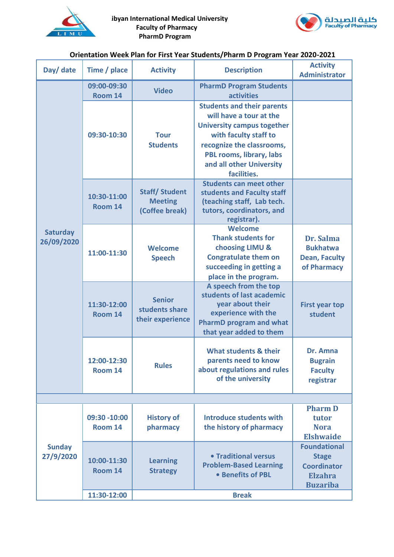



## **Orientation Week Plan for First Year Students/Pharm D Program Year 2020-2021**

| Day/ date                     | Time / place            | <b>Activity</b>                                          | <b>Description</b>                                                                                                                                                                                                             | <b>Activity</b><br><b>Administrator</b>                                                        |
|-------------------------------|-------------------------|----------------------------------------------------------|--------------------------------------------------------------------------------------------------------------------------------------------------------------------------------------------------------------------------------|------------------------------------------------------------------------------------------------|
| <b>Saturday</b><br>26/09/2020 | 09:00-09:30<br>Room 14  | <b>Video</b>                                             | <b>PharmD Program Students</b><br><b>activities</b>                                                                                                                                                                            |                                                                                                |
|                               | 09:30-10:30             | <b>Tour</b><br><b>Students</b>                           | <b>Students and their parents</b><br>will have a tour at the<br><b>University campus together</b><br>with faculty staff to<br>recognize the classrooms,<br>PBL rooms, library, labs<br>and all other University<br>facilities. |                                                                                                |
|                               | 10:30-11:00<br>Room 14  | <b>Staff/Student</b><br><b>Meeting</b><br>(Coffee break) | <b>Students can meet other</b><br>students and Faculty staff<br>(teaching staff, Lab tech.<br>tutors, coordinators, and<br>registrar).                                                                                         |                                                                                                |
|                               | 11:00-11:30             | <b>Welcome</b><br><b>Speech</b>                          | <b>Welcome</b><br><b>Thank students for</b><br>choosing LIMU &<br><b>Congratulate them on</b><br>succeeding in getting a<br>place in the program.                                                                              | Dr. Salma<br><b>Bukhatwa</b><br><b>Dean, Faculty</b><br>of Pharmacy                            |
|                               | 11:30-12:00<br>Room 14  | <b>Senior</b><br>students share<br>their experience      | A speech from the top<br>students of last academic<br>year about their<br>experience with the<br><b>PharmD program and what</b><br>that year added to them                                                                     | <b>First year top</b><br>student                                                               |
|                               | 12:00-12:30<br>Room 14  | <b>Rules</b>                                             | What students & their<br>parents need to know<br>about regulations and rules<br>of the university                                                                                                                              | Dr. Amna<br><b>Bugrain</b><br><b>Faculty</b><br>registrar                                      |
|                               |                         |                                                          |                                                                                                                                                                                                                                |                                                                                                |
| <b>Sunday</b><br>27/9/2020    | 09:30 -10:00<br>Room 14 | <b>History of</b><br>pharmacy                            | <b>Introduce students with</b><br>the history of pharmacy                                                                                                                                                                      | <b>Pharm D</b><br>tutor<br><b>Nora</b><br><b>Elshwaide</b>                                     |
|                               | 10:00-11:30<br>Room 14  | <b>Learning</b><br><b>Strategy</b>                       | • Traditional versus<br><b>Problem-Based Learning</b><br>• Benefits of PBL                                                                                                                                                     | <b>Foundational</b><br><b>Stage</b><br><b>Coordinator</b><br><b>Elzahra</b><br><b>Buzariba</b> |
|                               | 11:30-12:00             |                                                          | <b>Break</b>                                                                                                                                                                                                                   |                                                                                                |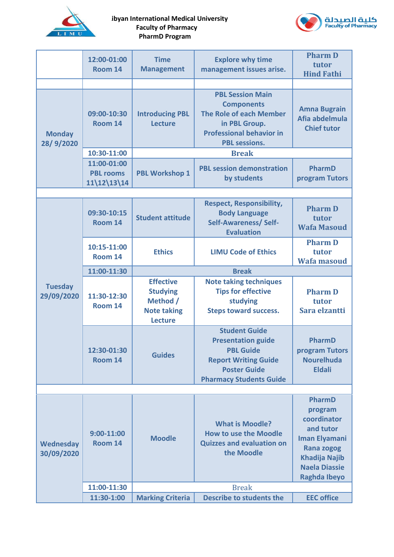

## **Libyan International Medical University Faculty of Pharmacy PharmD Program**



|                              | 12:00-01:00                                      | <b>Time</b>                                                                             | <b>Explore why time</b>                                                                                                                                       | <b>Pharm D</b><br>tutor                                                                                                                                           |
|------------------------------|--------------------------------------------------|-----------------------------------------------------------------------------------------|---------------------------------------------------------------------------------------------------------------------------------------------------------------|-------------------------------------------------------------------------------------------------------------------------------------------------------------------|
|                              | Room 14                                          | <b>Management</b>                                                                       | management issues arise.                                                                                                                                      | <b>Hind Fathi</b>                                                                                                                                                 |
|                              |                                                  |                                                                                         |                                                                                                                                                               |                                                                                                                                                                   |
| <b>Monday</b><br>28/9/2020   | 09:00-10:30<br>Room 14                           | <b>Introducing PBL</b><br>Lecture                                                       | <b>PBL Session Main</b><br><b>Components</b><br><b>The Role of each Member</b><br>in PBL Group.<br><b>Professional behavior in</b><br><b>PBL sessions.</b>    | <b>Amna Bugrain</b><br>Afia abdelmula<br><b>Chief tutor</b>                                                                                                       |
|                              | 10:30-11:00                                      | <b>Break</b>                                                                            |                                                                                                                                                               |                                                                                                                                                                   |
|                              | 11:00-01:00<br><b>PBL rooms</b><br>$11\12\13\14$ | <b>PBL Workshop 1</b>                                                                   | <b>PBL session demonstration</b><br>by students                                                                                                               | PharmD<br>program Tutors                                                                                                                                          |
|                              |                                                  |                                                                                         |                                                                                                                                                               |                                                                                                                                                                   |
|                              | 09:30-10:15<br>Room 14                           | <b>Student attitude</b>                                                                 | <b>Respect, Responsibility,</b><br><b>Body Language</b><br><b>Self-Awareness/Self-</b><br><b>Evaluation</b>                                                   | <b>Pharm D</b><br>tutor<br><b>Wafa Masoud</b>                                                                                                                     |
|                              | 10:15-11:00<br>Room 14                           | <b>Ethics</b>                                                                           | <b>LIMU Code of Ethics</b>                                                                                                                                    | <b>Pharm D</b><br>tutor<br><b>Wafa masoud</b>                                                                                                                     |
|                              | 11:00-11:30                                      | <b>Break</b>                                                                            |                                                                                                                                                               |                                                                                                                                                                   |
| <b>Tuesday</b><br>29/09/2020 | 11:30-12:30<br>Room 14                           | <b>Effective</b><br><b>Studying</b><br>Method /<br><b>Note taking</b><br><b>Lecture</b> | <b>Note taking techniques</b><br><b>Tips for effective</b><br>studying<br><b>Steps toward success.</b>                                                        | <b>Pharm D</b><br>tutor<br>Sara elzantti                                                                                                                          |
|                              | 12:30-01:30<br>Room 14                           | <b>Guides</b>                                                                           | <b>Student Guide</b><br><b>Presentation guide</b><br><b>PBL Guide</b><br><b>Report Writing Guide</b><br><b>Poster Guide</b><br><b>Pharmacy Students Guide</b> | PharmD<br>program Tutors<br><b>Nourelhuda</b><br><b>Eldali</b>                                                                                                    |
|                              |                                                  |                                                                                         |                                                                                                                                                               |                                                                                                                                                                   |
| Wednesday<br>30/09/2020      | $9:00-11:00$<br>Room 14                          | <b>Moodle</b>                                                                           | <b>What is Moodle?</b><br><b>How to use the Moodle</b><br><b>Quizzes and evaluation on</b><br>the Moodle                                                      | PharmD<br>program<br>coordinator<br>and tutor<br><b>Iman Elyamani</b><br><b>Rana zogog</b><br><b>Khadija Najib</b><br><b>Naela Diassie</b><br><b>Raghda Ibeyo</b> |
|                              | 11:00-11:30                                      | <b>Break</b>                                                                            |                                                                                                                                                               |                                                                                                                                                                   |
|                              | 11:30-1:00                                       | <b>Marking Criteria</b>                                                                 | <b>Describe to students the</b>                                                                                                                               | <b>EEC office</b>                                                                                                                                                 |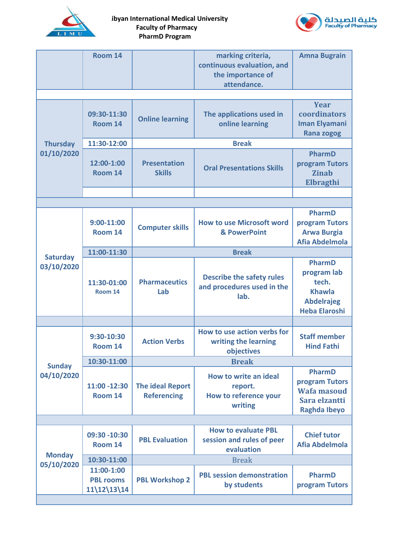

**Libyan International Medical University Faculty of Pharmacy PharmD Program** 



|                               | Room 14                                         |                                               | marking criteria,<br>continuous evaluation, and<br>the importance of<br>attendance. | <b>Amna Bugrain</b>                                                                          |
|-------------------------------|-------------------------------------------------|-----------------------------------------------|-------------------------------------------------------------------------------------|----------------------------------------------------------------------------------------------|
|                               |                                                 |                                               |                                                                                     |                                                                                              |
|                               | 09:30-11:30<br>Room 14                          | <b>Online learning</b>                        | The applications used in<br>online learning                                         | <b>Year</b><br>coordinators<br><b>Iman Elyamani</b><br><b>Rana zogog</b>                     |
| <b>Thursday</b>               | 11:30-12:00                                     | <b>Break</b>                                  |                                                                                     |                                                                                              |
| 01/10/2020                    | 12:00-1:00<br>Room 14                           | <b>Presentation</b><br><b>Skills</b>          | <b>Oral Presentations Skills</b>                                                    | PharmD<br>program Tutors<br><b>Zinab</b><br>Elbragthi                                        |
|                               |                                                 |                                               |                                                                                     |                                                                                              |
|                               |                                                 |                                               |                                                                                     |                                                                                              |
|                               | $9:00 - 11:00$<br>Room 14                       | <b>Computer skills</b>                        | <b>How to use Microsoft word</b><br>& PowerPoint                                    | PharmD<br>program Tutors<br><b>Arwa Burgia</b><br>Afia Abdelmola                             |
|                               | 11:00-11:30                                     | <b>Break</b>                                  |                                                                                     |                                                                                              |
| <b>Saturday</b><br>03/10/2020 | 11:30-01:00<br>Room 14                          | <b>Pharmaceutics</b><br>Lab                   | <b>Describe the safety rules</b><br>and procedures used in the<br>lab.              | PharmD<br>program lab<br>tech.<br><b>Khawla</b><br><b>Abdelrajeg</b><br><b>Heba Elaroshi</b> |
|                               |                                                 |                                               |                                                                                     |                                                                                              |
|                               | 9:30-10:30<br>Room 14                           | <b>Action Verbs</b>                           | How to use action verbs for<br>writing the learning<br>objectives                   | <b>Staff member</b><br><b>Hind Fathi</b>                                                     |
| <b>Sunday</b>                 | 10:30-11:00                                     |                                               | <b>Break</b>                                                                        |                                                                                              |
| 04/10/2020                    | 11:00 -12:30<br>Room 14                         | <b>The ideal Report</b><br><b>Referencing</b> | <b>How to write an ideal</b><br>report.<br>How to reference your<br>writing         | PharmD<br>program Tutors<br><b>Wafa masoud</b><br>Sara elzantti<br><b>Raghda Ibeyo</b>       |
|                               |                                                 |                                               |                                                                                     |                                                                                              |
| <b>Monday</b><br>05/10/2020   | 09:30 -10:30<br>Room 14                         | <b>PBL Evaluation</b>                         | <b>How to evaluate PBL</b><br>session and rules of peer<br>evaluation               | <b>Chief tutor</b><br><b>Afia Abdelmola</b>                                                  |
|                               | 10:30-11:00                                     |                                               | <b>Break</b>                                                                        |                                                                                              |
|                               | 11:00-1:00<br><b>PBL rooms</b><br>$11\12\13\14$ | <b>PBL Workshop 2</b>                         | <b>PBL session demonstration</b><br>by students                                     | PharmD<br>program Tutors                                                                     |
|                               |                                                 |                                               |                                                                                     |                                                                                              |